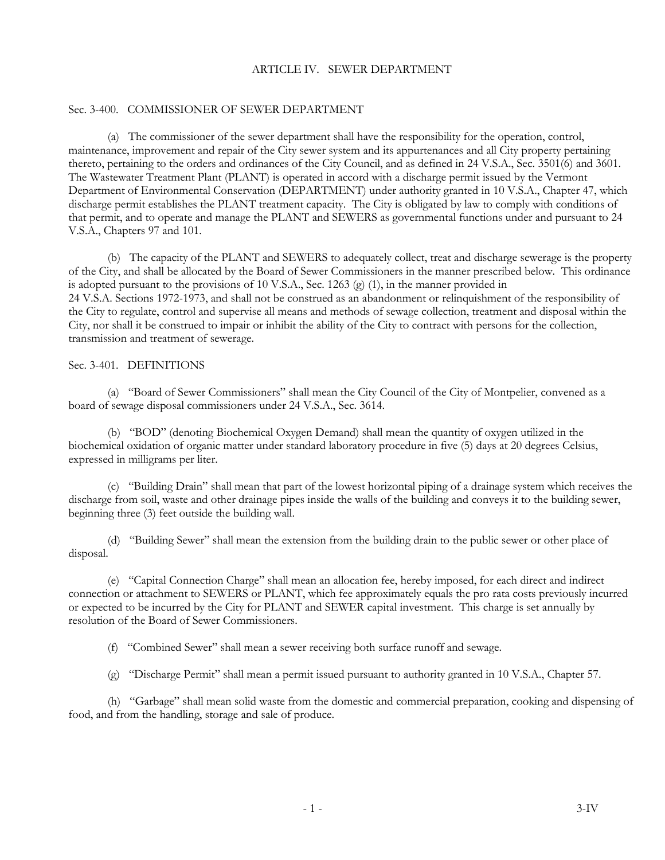### ARTICLE IV. SEWER DEPARTMENT

#### Sec. 3-400. COMMISSIONER OF SEWER DEPARTMENT

(a) The commissioner of the sewer department shall have the responsibility for the operation, control, maintenance, improvement and repair of the City sewer system and its appurtenances and all City property pertaining thereto, pertaining to the orders and ordinances of the City Council, and as defined in 24 V.S.A., Sec. 3501(6) and 3601. The Wastewater Treatment Plant (PLANT) is operated in accord with a discharge permit issued by the Vermont Department of Environmental Conservation (DEPARTMENT) under authority granted in 10 V.S.A., Chapter 47, which discharge permit establishes the PLANT treatment capacity. The City is obligated by law to comply with conditions of that permit, and to operate and manage the PLANT and SEWERS as governmental functions under and pursuant to 24 V.S.A., Chapters 97 and 101.

(b) The capacity of the PLANT and SEWERS to adequately collect, treat and discharge sewerage is the property of the City, and shall be allocated by the Board of Sewer Commissioners in the manner prescribed below. This ordinance is adopted pursuant to the provisions of 10 V.S.A., Sec. 1263 (g)  $(1)$ , in the manner provided in 24 V.S.A. Sections 1972-1973, and shall not be construed as an abandonment or relinquishment of the responsibility of the City to regulate, control and supervise all means and methods of sewage collection, treatment and disposal within the City, nor shall it be construed to impair or inhibit the ability of the City to contract with persons for the collection, transmission and treatment of sewerage.

### Sec. 3-401. DEFINITIONS

(a) "Board of Sewer Commissioners" shall mean the City Council of the City of Montpelier, convened as a board of sewage disposal commissioners under 24 V.S.A., Sec. 3614.

(b) "BOD" (denoting Biochemical Oxygen Demand) shall mean the quantity of oxygen utilized in the biochemical oxidation of organic matter under standard laboratory procedure in five (5) days at 20 degrees Celsius, expressed in milligrams per liter.

(c) "Building Drain" shall mean that part of the lowest horizontal piping of a drainage system which receives the discharge from soil, waste and other drainage pipes inside the walls of the building and conveys it to the building sewer, beginning three (3) feet outside the building wall.

(d) "Building Sewer" shall mean the extension from the building drain to the public sewer or other place of disposal.

(e) "Capital Connection Charge" shall mean an allocation fee, hereby imposed, for each direct and indirect connection or attachment to SEWERS or PLANT, which fee approximately equals the pro rata costs previously incurred or expected to be incurred by the City for PLANT and SEWER capital investment. This charge is set annually by resolution of the Board of Sewer Commissioners.

(f) "Combined Sewer" shall mean a sewer receiving both surface runoff and sewage.

(g) "Discharge Permit" shall mean a permit issued pursuant to authority granted in 10 V.S.A., Chapter 57.

(h) "Garbage" shall mean solid waste from the domestic and commercial preparation, cooking and dispensing of food, and from the handling, storage and sale of produce.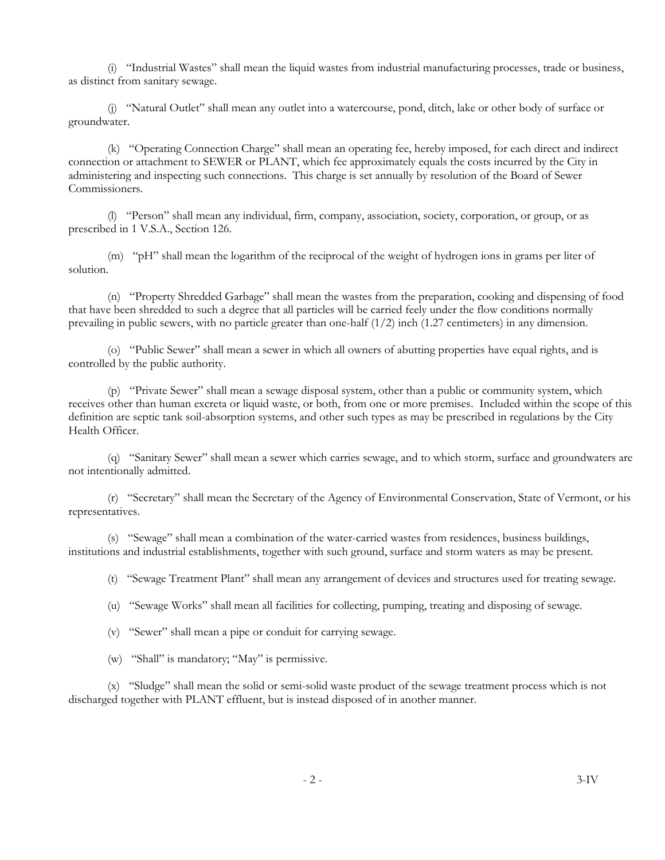(i) "Industrial Wastes" shall mean the liquid wastes from industrial manufacturing processes, trade or business, as distinct from sanitary sewage.

(j) "Natural Outlet" shall mean any outlet into a watercourse, pond, ditch, lake or other body of surface or groundwater.

(k) "Operating Connection Charge" shall mean an operating fee, hereby imposed, for each direct and indirect connection or attachment to SEWER or PLANT, which fee approximately equals the costs incurred by the City in administering and inspecting such connections. This charge is set annually by resolution of the Board of Sewer Commissioners.

(l) "Person" shall mean any individual, firm, company, association, society, corporation, or group, or as prescribed in 1 V.S.A., Section 126.

(m) "pH" shall mean the logarithm of the reciprocal of the weight of hydrogen ions in grams per liter of solution.

(n) "Property Shredded Garbage" shall mean the wastes from the preparation, cooking and dispensing of food that have been shredded to such a degree that all particles will be carried feely under the flow conditions normally prevailing in public sewers, with no particle greater than one-half  $(1/2)$  inch  $(1.27$  centimeters) in any dimension.

(o) "Public Sewer" shall mean a sewer in which all owners of abutting properties have equal rights, and is controlled by the public authority.

(p) "Private Sewer" shall mean a sewage disposal system, other than a public or community system, which receives other than human excreta or liquid waste, or both, from one or more premises. Included within the scope of this definition are septic tank soil-absorption systems, and other such types as may be prescribed in regulations by the City Health Officer.

(q) "Sanitary Sewer" shall mean a sewer which carries sewage, and to which storm, surface and groundwaters are not intentionally admitted.

(r) "Secretary" shall mean the Secretary of the Agency of Environmental Conservation, State of Vermont, or his representatives.

(s) "Sewage" shall mean a combination of the water-carried wastes from residences, business buildings, institutions and industrial establishments, together with such ground, surface and storm waters as may be present.

(t) "Sewage Treatment Plant" shall mean any arrangement of devices and structures used for treating sewage.

(u) "Sewage Works" shall mean all facilities for collecting, pumping, treating and disposing of sewage.

(v) "Sewer" shall mean a pipe or conduit for carrying sewage.

(w) "Shall" is mandatory; "May" is permissive.

(x) "Sludge" shall mean the solid or semi-solid waste product of the sewage treatment process which is not discharged together with PLANT effluent, but is instead disposed of in another manner.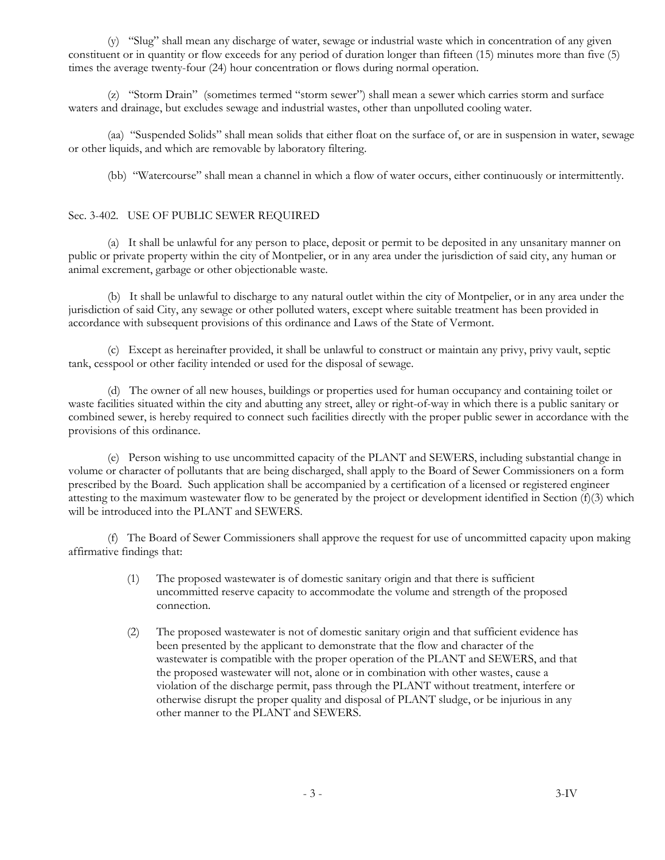(y) "Slug" shall mean any discharge of water, sewage or industrial waste which in concentration of any given constituent or in quantity or flow exceeds for any period of duration longer than fifteen (15) minutes more than five (5) times the average twenty-four (24) hour concentration or flows during normal operation.

(z) "Storm Drain" (sometimes termed "storm sewer") shall mean a sewer which carries storm and surface waters and drainage, but excludes sewage and industrial wastes, other than unpolluted cooling water.

(aa) "Suspended Solids" shall mean solids that either float on the surface of, or are in suspension in water, sewage or other liquids, and which are removable by laboratory filtering.

(bb) "Watercourse" shall mean a channel in which a flow of water occurs, either continuously or intermittently.

## Sec. 3-402. USE OF PUBLIC SEWER REQUIRED

(a) It shall be unlawful for any person to place, deposit or permit to be deposited in any unsanitary manner on public or private property within the city of Montpelier, or in any area under the jurisdiction of said city, any human or animal excrement, garbage or other objectionable waste.

(b) It shall be unlawful to discharge to any natural outlet within the city of Montpelier, or in any area under the jurisdiction of said City, any sewage or other polluted waters, except where suitable treatment has been provided in accordance with subsequent provisions of this ordinance and Laws of the State of Vermont.

(c) Except as hereinafter provided, it shall be unlawful to construct or maintain any privy, privy vault, septic tank, cesspool or other facility intended or used for the disposal of sewage.

(d) The owner of all new houses, buildings or properties used for human occupancy and containing toilet or waste facilities situated within the city and abutting any street, alley or right-of-way in which there is a public sanitary or combined sewer, is hereby required to connect such facilities directly with the proper public sewer in accordance with the provisions of this ordinance.

(e) Person wishing to use uncommitted capacity of the PLANT and SEWERS, including substantial change in volume or character of pollutants that are being discharged, shall apply to the Board of Sewer Commissioners on a form prescribed by the Board. Such application shall be accompanied by a certification of a licensed or registered engineer attesting to the maximum wastewater flow to be generated by the project or development identified in Section  $(f)(3)$  which will be introduced into the PLANT and SEWERS.

(f) The Board of Sewer Commissioners shall approve the request for use of uncommitted capacity upon making affirmative findings that:

- (1) The proposed wastewater is of domestic sanitary origin and that there is sufficient uncommitted reserve capacity to accommodate the volume and strength of the proposed connection.
- (2) The proposed wastewater is not of domestic sanitary origin and that sufficient evidence has been presented by the applicant to demonstrate that the flow and character of the wastewater is compatible with the proper operation of the PLANT and SEWERS, and that the proposed wastewater will not, alone or in combination with other wastes, cause a violation of the discharge permit, pass through the PLANT without treatment, interfere or otherwise disrupt the proper quality and disposal of PLANT sludge, or be injurious in any other manner to the PLANT and SEWERS.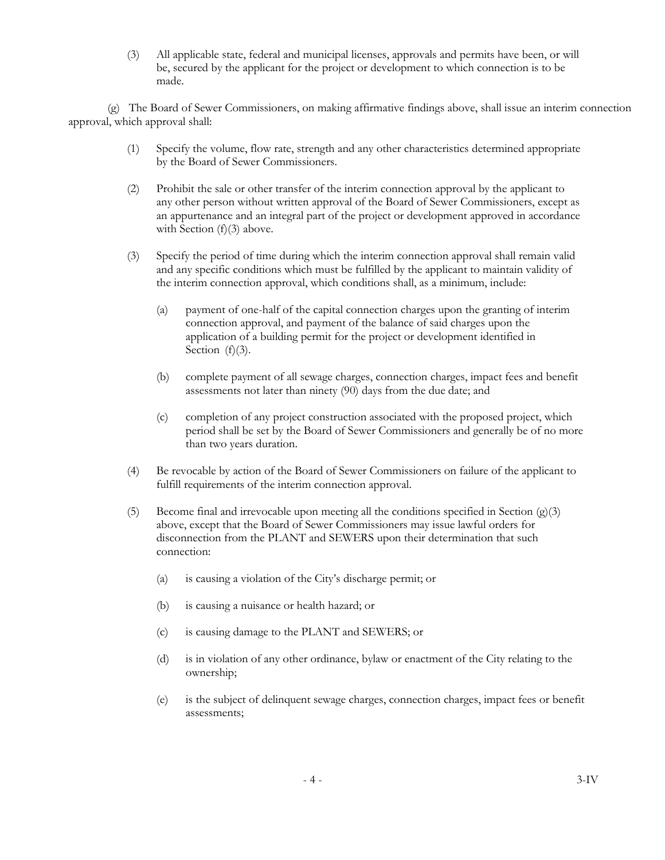(3) All applicable state, federal and municipal licenses, approvals and permits have been, or will be, secured by the applicant for the project or development to which connection is to be made.

(g) The Board of Sewer Commissioners, on making affirmative findings above, shall issue an interim connection approval, which approval shall:

- (1) Specify the volume, flow rate, strength and any other characteristics determined appropriate by the Board of Sewer Commissioners.
- (2) Prohibit the sale or other transfer of the interim connection approval by the applicant to any other person without written approval of the Board of Sewer Commissioners, except as an appurtenance and an integral part of the project or development approved in accordance with Section (f)(3) above.
- (3) Specify the period of time during which the interim connection approval shall remain valid and any specific conditions which must be fulfilled by the applicant to maintain validity of the interim connection approval, which conditions shall, as a minimum, include:
	- (a) payment of one-half of the capital connection charges upon the granting of interim connection approval, and payment of the balance of said charges upon the application of a building permit for the project or development identified in Section  $(f)(3)$ .
	- (b) complete payment of all sewage charges, connection charges, impact fees and benefit assessments not later than ninety (90) days from the due date; and
	- (c) completion of any project construction associated with the proposed project, which period shall be set by the Board of Sewer Commissioners and generally be of no more than two years duration.
- (4) Be revocable by action of the Board of Sewer Commissioners on failure of the applicant to fulfill requirements of the interim connection approval.
- (5) Become final and irrevocable upon meeting all the conditions specified in Section  $(g)(3)$ above, except that the Board of Sewer Commissioners may issue lawful orders for disconnection from the PLANT and SEWERS upon their determination that such connection:
	- (a) is causing a violation of the City's discharge permit; or
	- (b) is causing a nuisance or health hazard; or
	- (c) is causing damage to the PLANT and SEWERS; or
	- (d) is in violation of any other ordinance, bylaw or enactment of the City relating to the ownership;
	- (e) is the subject of delinquent sewage charges, connection charges, impact fees or benefit assessments;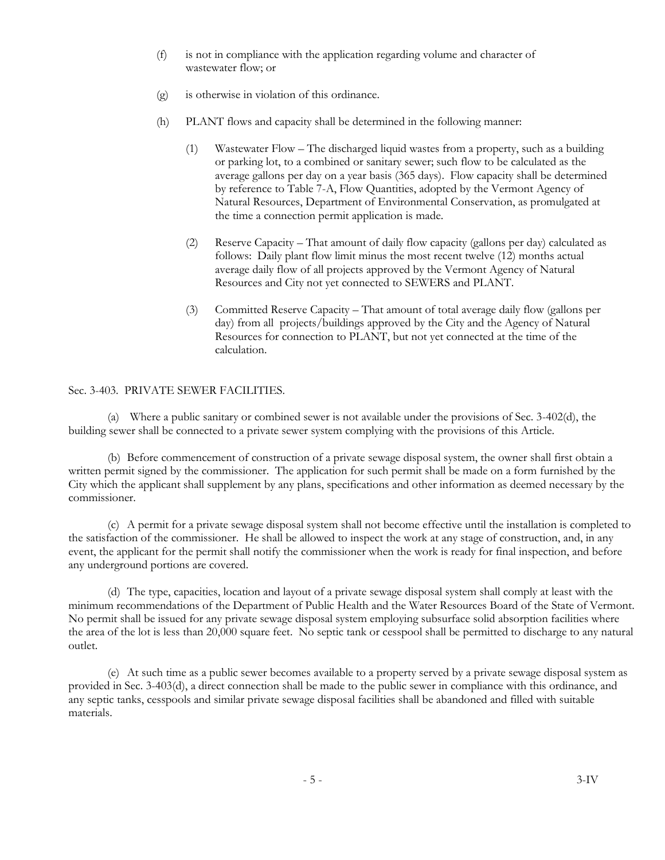- (f) is not in compliance with the application regarding volume and character of wastewater flow; or
- (g) is otherwise in violation of this ordinance.
- (h) PLANT flows and capacity shall be determined in the following manner:
	- (1) Wastewater Flow The discharged liquid wastes from a property, such as a building or parking lot, to a combined or sanitary sewer; such flow to be calculated as the average gallons per day on a year basis (365 days). Flow capacity shall be determined by reference to Table 7-A, Flow Quantities, adopted by the Vermont Agency of Natural Resources, Department of Environmental Conservation, as promulgated at the time a connection permit application is made.
	- (2) Reserve Capacity That amount of daily flow capacity (gallons per day) calculated as follows: Daily plant flow limit minus the most recent twelve (12) months actual average daily flow of all projects approved by the Vermont Agency of Natural Resources and City not yet connected to SEWERS and PLANT.
	- (3) Committed Reserve Capacity That amount of total average daily flow (gallons per day) from all projects/buildings approved by the City and the Agency of Natural Resources for connection to PLANT, but not yet connected at the time of the calculation.

# Sec. 3-403. PRIVATE SEWER FACILITIES.

(a) Where a public sanitary or combined sewer is not available under the provisions of Sec. 3-402(d), the building sewer shall be connected to a private sewer system complying with the provisions of this Article.

(b) Before commencement of construction of a private sewage disposal system, the owner shall first obtain a written permit signed by the commissioner. The application for such permit shall be made on a form furnished by the City which the applicant shall supplement by any plans, specifications and other information as deemed necessary by the commissioner.

(c) A permit for a private sewage disposal system shall not become effective until the installation is completed to the satisfaction of the commissioner. He shall be allowed to inspect the work at any stage of construction, and, in any event, the applicant for the permit shall notify the commissioner when the work is ready for final inspection, and before any underground portions are covered.

(d) The type, capacities, location and layout of a private sewage disposal system shall comply at least with the minimum recommendations of the Department of Public Health and the Water Resources Board of the State of Vermont. No permit shall be issued for any private sewage disposal system employing subsurface solid absorption facilities where the area of the lot is less than 20,000 square feet. No septic tank or cesspool shall be permitted to discharge to any natural outlet.

(e) At such time as a public sewer becomes available to a property served by a private sewage disposal system as provided in Sec. 3-403(d), a direct connection shall be made to the public sewer in compliance with this ordinance, and any septic tanks, cesspools and similar private sewage disposal facilities shall be abandoned and filled with suitable materials.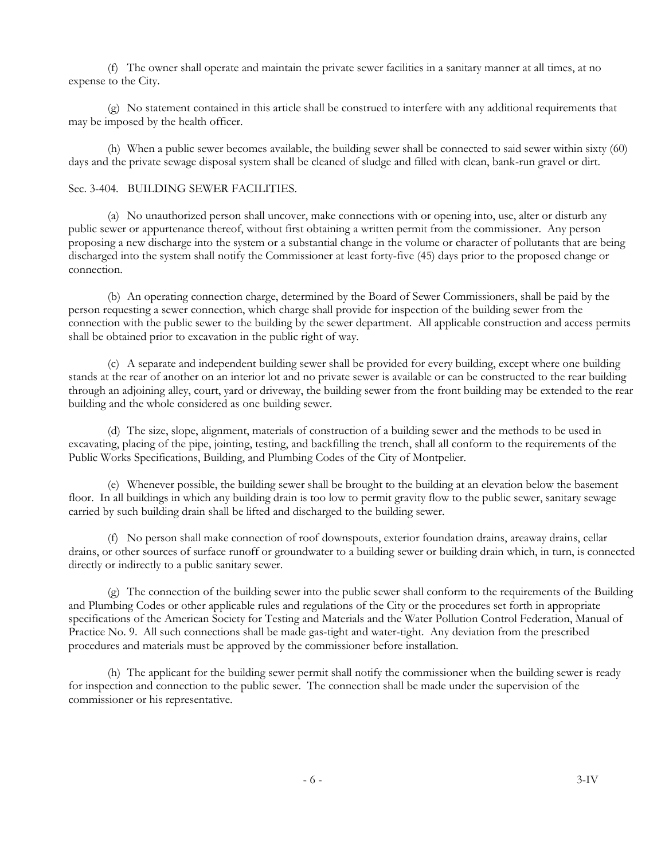(f) The owner shall operate and maintain the private sewer facilities in a sanitary manner at all times, at no expense to the City.

(g) No statement contained in this article shall be construed to interfere with any additional requirements that may be imposed by the health officer.

(h) When a public sewer becomes available, the building sewer shall be connected to said sewer within sixty (60) days and the private sewage disposal system shall be cleaned of sludge and filled with clean, bank-run gravel or dirt.

# Sec. 3-404. BUILDING SEWER FACILITIES.

(a) No unauthorized person shall uncover, make connections with or opening into, use, alter or disturb any public sewer or appurtenance thereof, without first obtaining a written permit from the commissioner. Any person proposing a new discharge into the system or a substantial change in the volume or character of pollutants that are being discharged into the system shall notify the Commissioner at least forty-five (45) days prior to the proposed change or connection.

(b) An operating connection charge, determined by the Board of Sewer Commissioners, shall be paid by the person requesting a sewer connection, which charge shall provide for inspection of the building sewer from the connection with the public sewer to the building by the sewer department. All applicable construction and access permits shall be obtained prior to excavation in the public right of way.

(c) A separate and independent building sewer shall be provided for every building, except where one building stands at the rear of another on an interior lot and no private sewer is available or can be constructed to the rear building through an adjoining alley, court, yard or driveway, the building sewer from the front building may be extended to the rear building and the whole considered as one building sewer.

(d) The size, slope, alignment, materials of construction of a building sewer and the methods to be used in excavating, placing of the pipe, jointing, testing, and backfilling the trench, shall all conform to the requirements of the Public Works Specifications, Building, and Plumbing Codes of the City of Montpelier.

(e) Whenever possible, the building sewer shall be brought to the building at an elevation below the basement floor. In all buildings in which any building drain is too low to permit gravity flow to the public sewer, sanitary sewage carried by such building drain shall be lifted and discharged to the building sewer.

(f) No person shall make connection of roof downspouts, exterior foundation drains, areaway drains, cellar drains, or other sources of surface runoff or groundwater to a building sewer or building drain which, in turn, is connected directly or indirectly to a public sanitary sewer.

(g) The connection of the building sewer into the public sewer shall conform to the requirements of the Building and Plumbing Codes or other applicable rules and regulations of the City or the procedures set forth in appropriate specifications of the American Society for Testing and Materials and the Water Pollution Control Federation, Manual of Practice No. 9. All such connections shall be made gas-tight and water-tight. Any deviation from the prescribed procedures and materials must be approved by the commissioner before installation.

(h) The applicant for the building sewer permit shall notify the commissioner when the building sewer is ready for inspection and connection to the public sewer. The connection shall be made under the supervision of the commissioner or his representative.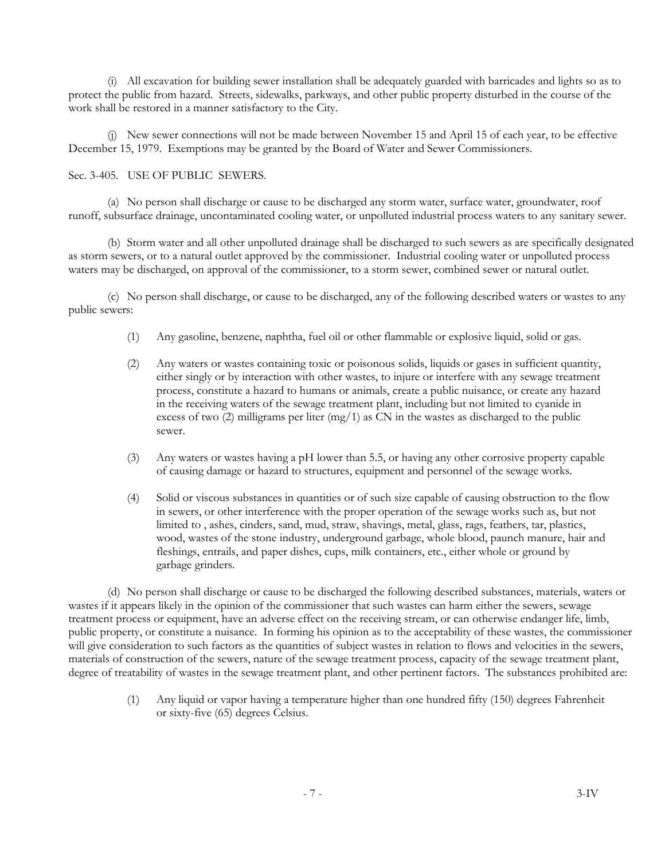(i) All excavation for building sewer installation shall be adequately guarded with barricades and lights so as to protect the public from hazard. Streets, sidewalks, parkways, and other public property disturbed in the course of the work shall be restored in a manner satisfactory to the City.

(j) New sewer connections will not be made between November 15 and April 15 of each year, to be effective December 15, 1979. Exemptions may be granted by the Board of Water and Sewer Commissioners.

## Sec. 3-405. USE OF PUBLIC SEWERS.

(a) No person shall discharge or cause to be discharged any storm water, surface water, groundwater, roof runoff, subsurface drainage, uncontaminated cooling water, or unpolluted industrial process waters to any sanitary sewer.

(b) Storm water and all other unpolluted drainage shall be discharged to such sewers as are specifically designated as storm sewers, or to a natural outlet approved by the commissioner. Industrial cooling water or unpolluted process waters may be discharged, on approval of the commissioner, to a storm sewer, combined sewer or natural outlet.

(c) No person shall discharge, or cause to be discharged, any of the following described waters or wastes to any public sewers:

- (1) Any gasoline, benzene, naphtha, fuel oil or other flammable or explosive liquid, solid or gas.
- (2) Any waters or wastes containing toxic or poisonous solids, liquids or gases in sufficient quantity, either singly or by interaction with other wastes, to injure or interfere with any sewage treatment process, constitute a hazard to humans or animals, create a public nuisance, or create any hazard in the receiving waters of the sewage treatment plant, including but not limited to cyanide in excess of two  $(2)$  milligrams per liter  $(mg/1)$  as CN in the wastes as discharged to the public sewer.
- (3) Any waters or wastes having a pH lower than 5.5, or having any other corrosive property capable of causing damage or hazard to structures, equipment and personnel of the sewage works.
- (4) Solid or viscous substances in quantities or of such size capable of causing obstruction to the flow in sewers, or other interference with the proper operation of the sewage works such as, but not limited to , ashes, cinders, sand, mud, straw, shavings, metal, glass, rags, feathers, tar, plastics, wood, wastes of the stone industry, underground garbage, whole blood, paunch manure, hair and fleshings, entrails, and paper dishes, cups, milk containers, etc., either whole or ground by garbage grinders.

(d) No person shall discharge or cause to be discharged the following described substances, materials, waters or wastes if it appears likely in the opinion of the commissioner that such wastes can harm either the sewers, sewage treatment process or equipment, have an adverse effect on the receiving stream, or can otherwise endanger life, limb, public property, or constitute a nuisance. In forming his opinion as to the acceptability of these wastes, the commissioner will give consideration to such factors as the quantities of subject wastes in relation to flows and velocities in the sewers, materials of construction of the sewers, nature of the sewage treatment process, capacity of the sewage treatment plant, degree of treatability of wastes in the sewage treatment plant, and other pertinent factors. The substances prohibited are:

> (1) Any liquid or vapor having a temperature higher than one hundred fifty (150) degrees Fahrenheit or sixty-five (65) degrees Celsius.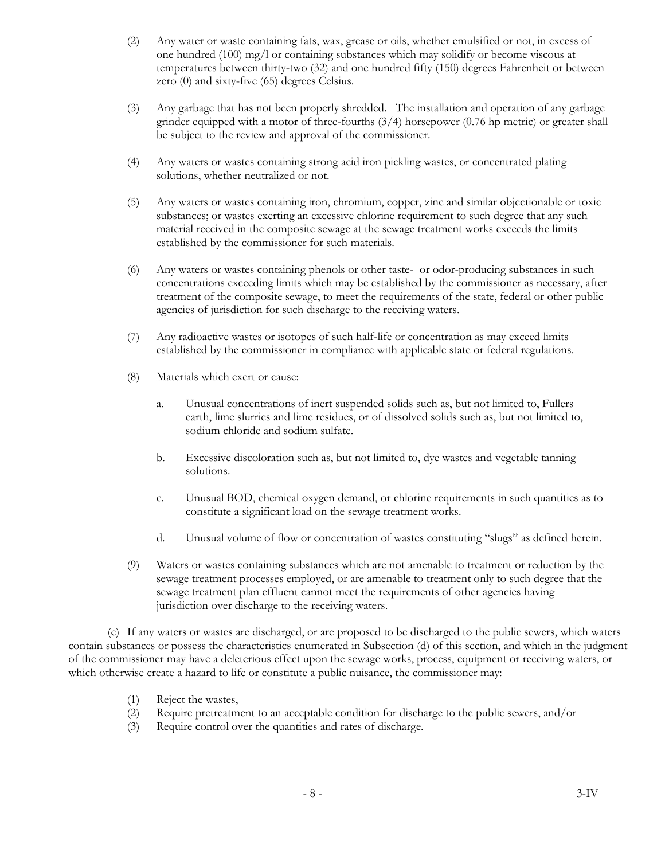- (2) Any water or waste containing fats, wax, grease or oils, whether emulsified or not, in excess of one hundred (100) mg/l or containing substances which may solidify or become viscous at temperatures between thirty-two (32) and one hundred fifty (150) degrees Fahrenheit or between zero (0) and sixty-five (65) degrees Celsius.
- (3) Any garbage that has not been properly shredded. The installation and operation of any garbage grinder equipped with a motor of three-fourths  $(3/4)$  horsepower  $(0.76$  hp metric) or greater shall be subject to the review and approval of the commissioner.
- (4) Any waters or wastes containing strong acid iron pickling wastes, or concentrated plating solutions, whether neutralized or not.
- (5) Any waters or wastes containing iron, chromium, copper, zinc and similar objectionable or toxic substances; or wastes exerting an excessive chlorine requirement to such degree that any such material received in the composite sewage at the sewage treatment works exceeds the limits established by the commissioner for such materials.
- (6) Any waters or wastes containing phenols or other taste- or odor-producing substances in such concentrations exceeding limits which may be established by the commissioner as necessary, after treatment of the composite sewage, to meet the requirements of the state, federal or other public agencies of jurisdiction for such discharge to the receiving waters.
- (7) Any radioactive wastes or isotopes of such half-life or concentration as may exceed limits established by the commissioner in compliance with applicable state or federal regulations.
- (8) Materials which exert or cause:
	- a. Unusual concentrations of inert suspended solids such as, but not limited to, Fullers earth, lime slurries and lime residues, or of dissolved solids such as, but not limited to, sodium chloride and sodium sulfate.
	- b. Excessive discoloration such as, but not limited to, dye wastes and vegetable tanning solutions.
	- c. Unusual BOD, chemical oxygen demand, or chlorine requirements in such quantities as to constitute a significant load on the sewage treatment works.
	- d. Unusual volume of flow or concentration of wastes constituting "slugs" as defined herein.
- (9) Waters or wastes containing substances which are not amenable to treatment or reduction by the sewage treatment processes employed, or are amenable to treatment only to such degree that the sewage treatment plan effluent cannot meet the requirements of other agencies having jurisdiction over discharge to the receiving waters.

(e) If any waters or wastes are discharged, or are proposed to be discharged to the public sewers, which waters contain substances or possess the characteristics enumerated in Subsection (d) of this section, and which in the judgment of the commissioner may have a deleterious effect upon the sewage works, process, equipment or receiving waters, or which otherwise create a hazard to life or constitute a public nuisance, the commissioner may:

- (1) Reject the wastes,
- (2) Require pretreatment to an acceptable condition for discharge to the public sewers, and/or
- (3) Require control over the quantities and rates of discharge.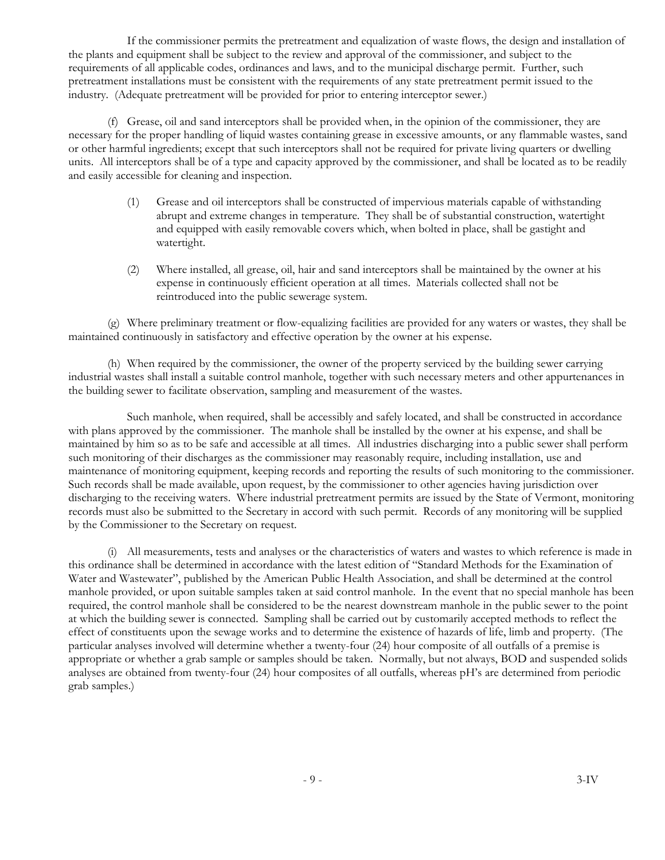If the commissioner permits the pretreatment and equalization of waste flows, the design and installation of the plants and equipment shall be subject to the review and approval of the commissioner, and subject to the requirements of all applicable codes, ordinances and laws, and to the municipal discharge permit. Further, such pretreatment installations must be consistent with the requirements of any state pretreatment permit issued to the industry. (Adequate pretreatment will be provided for prior to entering interceptor sewer.)

(f) Grease, oil and sand interceptors shall be provided when, in the opinion of the commissioner, they are necessary for the proper handling of liquid wastes containing grease in excessive amounts, or any flammable wastes, sand or other harmful ingredients; except that such interceptors shall not be required for private living quarters or dwelling units. All interceptors shall be of a type and capacity approved by the commissioner, and shall be located as to be readily and easily accessible for cleaning and inspection.

- (1) Grease and oil interceptors shall be constructed of impervious materials capable of withstanding abrupt and extreme changes in temperature. They shall be of substantial construction, watertight and equipped with easily removable covers which, when bolted in place, shall be gastight and watertight.
- (2) Where installed, all grease, oil, hair and sand interceptors shall be maintained by the owner at his expense in continuously efficient operation at all times. Materials collected shall not be reintroduced into the public sewerage system.

(g) Where preliminary treatment or flow-equalizing facilities are provided for any waters or wastes, they shall be maintained continuously in satisfactory and effective operation by the owner at his expense.

(h) When required by the commissioner, the owner of the property serviced by the building sewer carrying industrial wastes shall install a suitable control manhole, together with such necessary meters and other appurtenances in the building sewer to facilitate observation, sampling and measurement of the wastes.

Such manhole, when required, shall be accessibly and safely located, and shall be constructed in accordance with plans approved by the commissioner. The manhole shall be installed by the owner at his expense, and shall be maintained by him so as to be safe and accessible at all times. All industries discharging into a public sewer shall perform such monitoring of their discharges as the commissioner may reasonably require, including installation, use and maintenance of monitoring equipment, keeping records and reporting the results of such monitoring to the commissioner. Such records shall be made available, upon request, by the commissioner to other agencies having jurisdiction over discharging to the receiving waters. Where industrial pretreatment permits are issued by the State of Vermont, monitoring records must also be submitted to the Secretary in accord with such permit. Records of any monitoring will be supplied by the Commissioner to the Secretary on request.

(i) All measurements, tests and analyses or the characteristics of waters and wastes to which reference is made in this ordinance shall be determined in accordance with the latest edition of "Standard Methods for the Examination of Water and Wastewater", published by the American Public Health Association, and shall be determined at the control manhole provided, or upon suitable samples taken at said control manhole. In the event that no special manhole has been required, the control manhole shall be considered to be the nearest downstream manhole in the public sewer to the point at which the building sewer is connected. Sampling shall be carried out by customarily accepted methods to reflect the effect of constituents upon the sewage works and to determine the existence of hazards of life, limb and property. (The particular analyses involved will determine whether a twenty-four (24) hour composite of all outfalls of a premise is appropriate or whether a grab sample or samples should be taken. Normally, but not always, BOD and suspended solids analyses are obtained from twenty-four (24) hour composites of all outfalls, whereas pH's are determined from periodic grab samples.)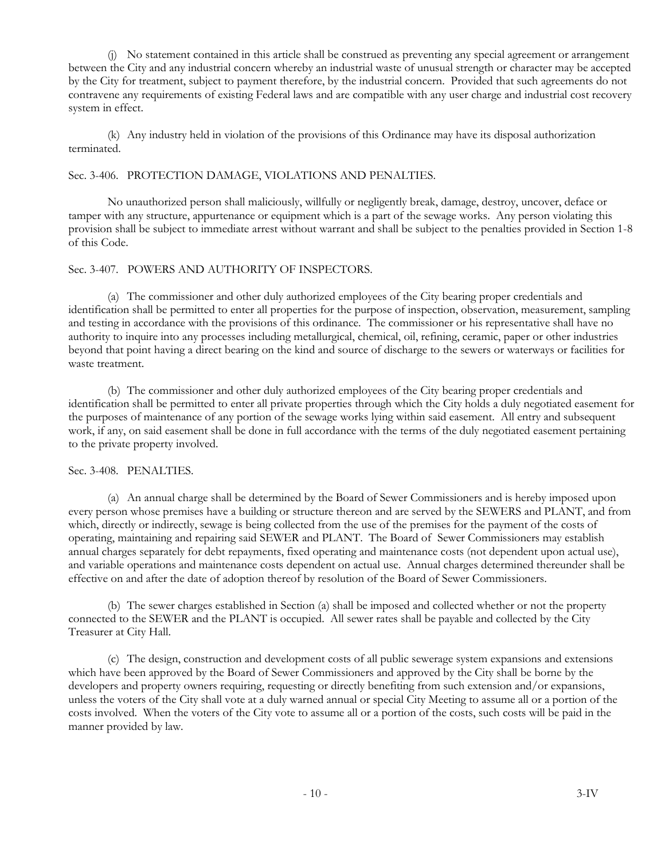(j) No statement contained in this article shall be construed as preventing any special agreement or arrangement between the City and any industrial concern whereby an industrial waste of unusual strength or character may be accepted by the City for treatment, subject to payment therefore, by the industrial concern. Provided that such agreements do not contravene any requirements of existing Federal laws and are compatible with any user charge and industrial cost recovery system in effect.

(k) Any industry held in violation of the provisions of this Ordinance may have its disposal authorization terminated.

### Sec. 3-406. PROTECTION DAMAGE, VIOLATIONS AND PENALTIES.

No unauthorized person shall maliciously, willfully or negligently break, damage, destroy, uncover, deface or tamper with any structure, appurtenance or equipment which is a part of the sewage works. Any person violating this provision shall be subject to immediate arrest without warrant and shall be subject to the penalties provided in Section 1-8 of this Code.

### Sec. 3-407. POWERS AND AUTHORITY OF INSPECTORS.

(a) The commissioner and other duly authorized employees of the City bearing proper credentials and identification shall be permitted to enter all properties for the purpose of inspection, observation, measurement, sampling and testing in accordance with the provisions of this ordinance. The commissioner or his representative shall have no authority to inquire into any processes including metallurgical, chemical, oil, refining, ceramic, paper or other industries beyond that point having a direct bearing on the kind and source of discharge to the sewers or waterways or facilities for waste treatment.

(b) The commissioner and other duly authorized employees of the City bearing proper credentials and identification shall be permitted to enter all private properties through which the City holds a duly negotiated easement for the purposes of maintenance of any portion of the sewage works lying within said easement. All entry and subsequent work, if any, on said easement shall be done in full accordance with the terms of the duly negotiated easement pertaining to the private property involved.

#### Sec. 3-408. PENALTIES.

(a) An annual charge shall be determined by the Board of Sewer Commissioners and is hereby imposed upon every person whose premises have a building or structure thereon and are served by the SEWERS and PLANT, and from which, directly or indirectly, sewage is being collected from the use of the premises for the payment of the costs of operating, maintaining and repairing said SEWER and PLANT. The Board of Sewer Commissioners may establish annual charges separately for debt repayments, fixed operating and maintenance costs (not dependent upon actual use), and variable operations and maintenance costs dependent on actual use. Annual charges determined thereunder shall be effective on and after the date of adoption thereof by resolution of the Board of Sewer Commissioners.

(b) The sewer charges established in Section (a) shall be imposed and collected whether or not the property connected to the SEWER and the PLANT is occupied. All sewer rates shall be payable and collected by the City Treasurer at City Hall.

(c) The design, construction and development costs of all public sewerage system expansions and extensions which have been approved by the Board of Sewer Commissioners and approved by the City shall be borne by the developers and property owners requiring, requesting or directly benefiting from such extension and/or expansions, unless the voters of the City shall vote at a duly warned annual or special City Meeting to assume all or a portion of the costs involved. When the voters of the City vote to assume all or a portion of the costs, such costs will be paid in the manner provided by law.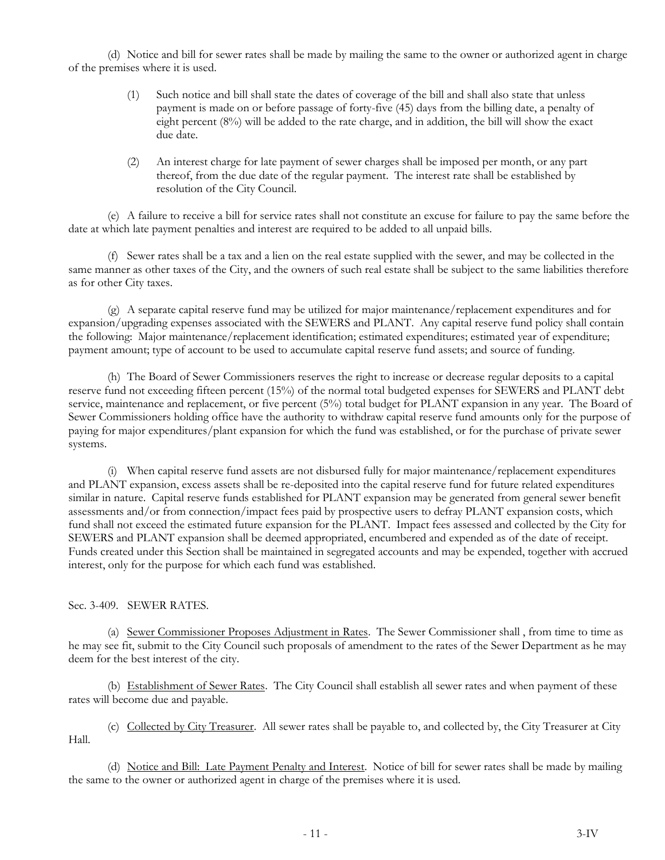(d) Notice and bill for sewer rates shall be made by mailing the same to the owner or authorized agent in charge of the premises where it is used.

- (1) Such notice and bill shall state the dates of coverage of the bill and shall also state that unless payment is made on or before passage of forty-five (45) days from the billing date, a penalty of eight percent (8%) will be added to the rate charge, and in addition, the bill will show the exact due date.
- (2) An interest charge for late payment of sewer charges shall be imposed per month, or any part thereof, from the due date of the regular payment. The interest rate shall be established by resolution of the City Council.

(e) A failure to receive a bill for service rates shall not constitute an excuse for failure to pay the same before the date at which late payment penalties and interest are required to be added to all unpaid bills.

(f) Sewer rates shall be a tax and a lien on the real estate supplied with the sewer, and may be collected in the same manner as other taxes of the City, and the owners of such real estate shall be subject to the same liabilities therefore as for other City taxes.

(g) A separate capital reserve fund may be utilized for major maintenance/replacement expenditures and for expansion/upgrading expenses associated with the SEWERS and PLANT. Any capital reserve fund policy shall contain the following: Major maintenance/replacement identification; estimated expenditures; estimated year of expenditure; payment amount; type of account to be used to accumulate capital reserve fund assets; and source of funding.

(h) The Board of Sewer Commissioners reserves the right to increase or decrease regular deposits to a capital reserve fund not exceeding fifteen percent (15%) of the normal total budgeted expenses for SEWERS and PLANT debt service, maintenance and replacement, or five percent (5%) total budget for PLANT expansion in any year. The Board of Sewer Commissioners holding office have the authority to withdraw capital reserve fund amounts only for the purpose of paying for major expenditures/plant expansion for which the fund was established, or for the purchase of private sewer systems.

(i) When capital reserve fund assets are not disbursed fully for major maintenance/replacement expenditures and PLANT expansion, excess assets shall be re-deposited into the capital reserve fund for future related expenditures similar in nature. Capital reserve funds established for PLANT expansion may be generated from general sewer benefit assessments and/or from connection/impact fees paid by prospective users to defray PLANT expansion costs, which fund shall not exceed the estimated future expansion for the PLANT. Impact fees assessed and collected by the City for SEWERS and PLANT expansion shall be deemed appropriated, encumbered and expended as of the date of receipt. Funds created under this Section shall be maintained in segregated accounts and may be expended, together with accrued interest, only for the purpose for which each fund was established.

## Sec. 3-409. SEWER RATES.

(a) Sewer Commissioner Proposes Adjustment in Rates. The Sewer Commissioner shall , from time to time as he may see fit, submit to the City Council such proposals of amendment to the rates of the Sewer Department as he may deem for the best interest of the city.

(b) Establishment of Sewer Rates. The City Council shall establish all sewer rates and when payment of these rates will become due and payable.

(c) Collected by City Treasurer. All sewer rates shall be payable to, and collected by, the City Treasurer at City Hall.

(d) Notice and Bill: Late Payment Penalty and Interest. Notice of bill for sewer rates shall be made by mailing the same to the owner or authorized agent in charge of the premises where it is used.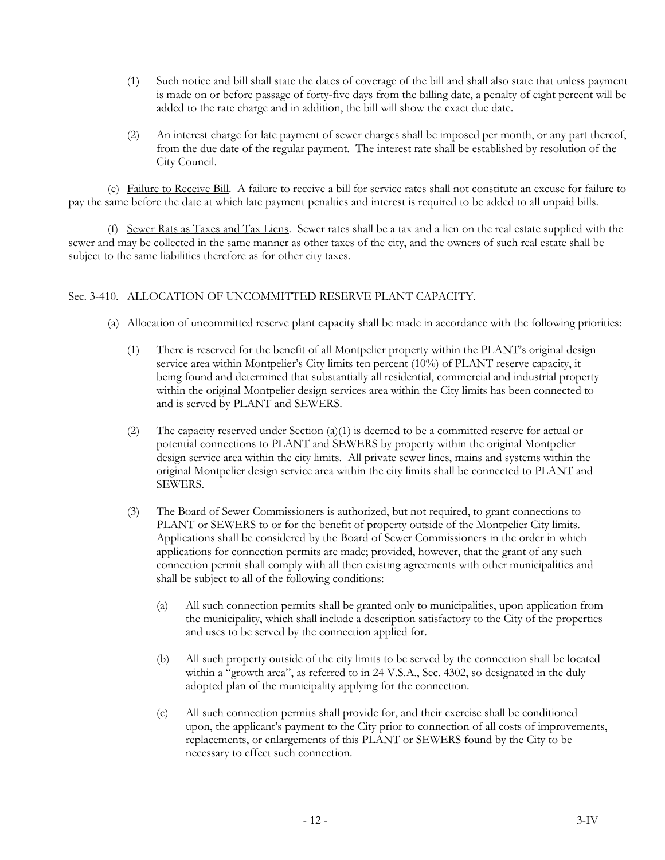- (1) Such notice and bill shall state the dates of coverage of the bill and shall also state that unless payment is made on or before passage of forty-five days from the billing date, a penalty of eight percent will be added to the rate charge and in addition, the bill will show the exact due date.
- (2) An interest charge for late payment of sewer charges shall be imposed per month, or any part thereof, from the due date of the regular payment. The interest rate shall be established by resolution of the City Council.

(e) Failure to Receive Bill. A failure to receive a bill for service rates shall not constitute an excuse for failure to pay the same before the date at which late payment penalties and interest is required to be added to all unpaid bills.

(f) Sewer Rats as Taxes and Tax Liens. Sewer rates shall be a tax and a lien on the real estate supplied with the sewer and may be collected in the same manner as other taxes of the city, and the owners of such real estate shall be subject to the same liabilities therefore as for other city taxes.

# Sec. 3-410. ALLOCATION OF UNCOMMITTED RESERVE PLANT CAPACITY.

- (a) Allocation of uncommitted reserve plant capacity shall be made in accordance with the following priorities:
	- (1) There is reserved for the benefit of all Montpelier property within the PLANT's original design service area within Montpelier's City limits ten percent (10%) of PLANT reserve capacity, it being found and determined that substantially all residential, commercial and industrial property within the original Montpelier design services area within the City limits has been connected to and is served by PLANT and SEWERS.
	- (2) The capacity reserved under Section (a)(1) is deemed to be a committed reserve for actual or potential connections to PLANT and SEWERS by property within the original Montpelier design service area within the city limits. All private sewer lines, mains and systems within the original Montpelier design service area within the city limits shall be connected to PLANT and SEWERS.
	- (3) The Board of Sewer Commissioners is authorized, but not required, to grant connections to PLANT or SEWERS to or for the benefit of property outside of the Montpelier City limits. Applications shall be considered by the Board of Sewer Commissioners in the order in which applications for connection permits are made; provided, however, that the grant of any such connection permit shall comply with all then existing agreements with other municipalities and shall be subject to all of the following conditions:
		- (a) All such connection permits shall be granted only to municipalities, upon application from the municipality, which shall include a description satisfactory to the City of the properties and uses to be served by the connection applied for.
		- (b) All such property outside of the city limits to be served by the connection shall be located within a "growth area", as referred to in 24 V.S.A., Sec. 4302, so designated in the duly adopted plan of the municipality applying for the connection.
		- (c) All such connection permits shall provide for, and their exercise shall be conditioned upon, the applicant's payment to the City prior to connection of all costs of improvements, replacements, or enlargements of this PLANT or SEWERS found by the City to be necessary to effect such connection.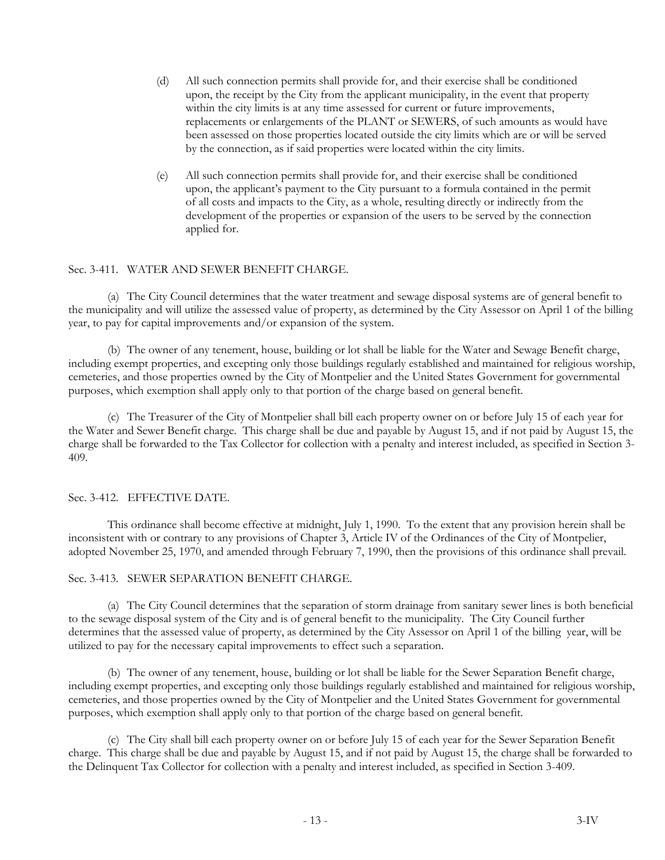- (d) All such connection permits shall provide for, and their exercise shall be conditioned upon, the receipt by the City from the applicant municipality, in the event that property within the city limits is at any time assessed for current or future improvements, replacements or enlargements of the PLANT or SEWERS, of such amounts as would have been assessed on those properties located outside the city limits which are or will be served by the connection, as if said properties were located within the city limits.
- (e) All such connection permits shall provide for, and their exercise shall be conditioned upon, the applicant's payment to the City pursuant to a formula contained in the permit of all costs and impacts to the City, as a whole, resulting directly or indirectly from the development of the properties or expansion of the users to be served by the connection applied for.

### Sec. 3-411. WATER AND SEWER BENEFIT CHARGE.

(a) The City Council determines that the water treatment and sewage disposal systems are of general benefit to the municipality and will utilize the assessed value of property, as determined by the City Assessor on April 1 of the billing year, to pay for capital improvements and/or expansion of the system.

(b) The owner of any tenement, house, building or lot shall be liable for the Water and Sewage Benefit charge, including exempt properties, and excepting only those buildings regularly established and maintained for religious worship, cemeteries, and those properties owned by the City of Montpelier and the United States Government for governmental purposes, which exemption shall apply only to that portion of the charge based on general benefit.

(c) The Treasurer of the City of Montpelier shall bill each property owner on or before July 15 of each year for the Water and Sewer Benefit charge. This charge shall be due and payable by August 15, and if not paid by August 15, the charge shall be forwarded to the Tax Collector for collection with a penalty and interest included, as specified in Section 3- 409.

#### Sec. 3-412. EFFECTIVE DATE.

This ordinance shall become effective at midnight, July 1, 1990. To the extent that any provision herein shall be inconsistent with or contrary to any provisions of Chapter 3, Article IV of the Ordinances of the City of Montpelier, adopted November 25, 1970, and amended through February 7, 1990, then the provisions of this ordinance shall prevail.

Sec. 3-413. SEWER SEPARATION BENEFIT CHARGE.

(a) The City Council determines that the separation of storm drainage from sanitary sewer lines is both beneficial to the sewage disposal system of the City and is of general benefit to the municipality. The City Council further determines that the assessed value of property, as determined by the City Assessor on April 1 of the billing year, will be utilized to pay for the necessary capital improvements to effect such a separation.

(b) The owner of any tenement, house, building or lot shall be liable for the Sewer Separation Benefit charge, including exempt properties, and excepting only those buildings regularly established and maintained for religious worship, cemeteries, and those properties owned by the City of Montpelier and the United States Government for governmental purposes, which exemption shall apply only to that portion of the charge based on general benefit.

(c) The City shall bill each property owner on or before July 15 of each year for the Sewer Separation Benefit charge. This charge shall be due and payable by August 15, and if not paid by August 15, the charge shall be forwarded to the Delinquent Tax Collector for collection with a penalty and interest included, as specified in Section 3-409.